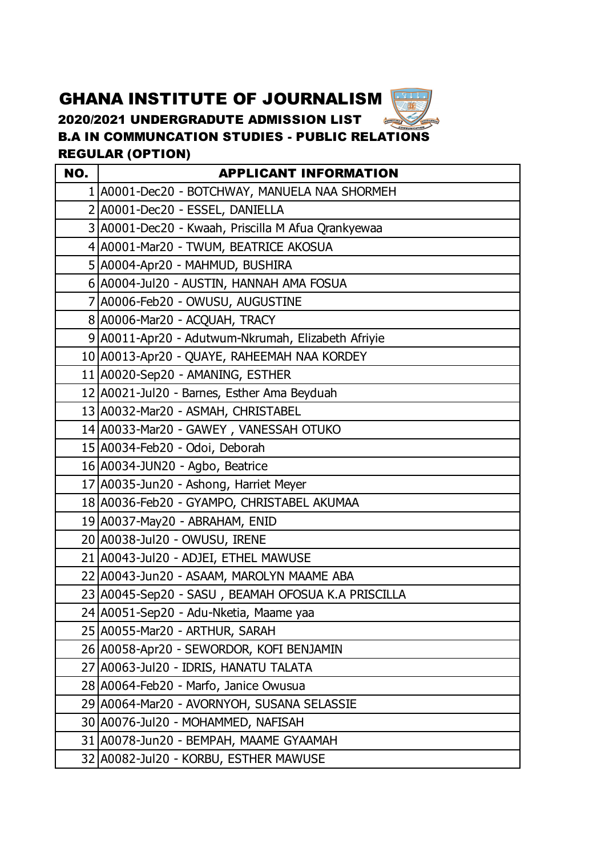## GHANA INSTITUTE OF JOURNALISM

2020/2021 UNDERGRADUTE ADMISSION LIST  $\frac{A}{\sqrt{N}}$ B.A IN COMMUNCATION STUDIES - PUBLIC RELATIONS REGULAR (OPTION)

一輩

| NO. | <b>APPLICANT INFORMATION</b>                       |
|-----|----------------------------------------------------|
|     | 1 A0001-Dec20 - BOTCHWAY, MANUELA NAA SHORMEH      |
|     | 2 A0001-Dec20 - ESSEL, DANIELLA                    |
|     | 3 A0001-Dec20 - Kwaah, Priscilla M Afua Qrankyewaa |
|     | 4 A0001-Mar20 - TWUM, BEATRICE AKOSUA              |
|     | 5 A0004-Apr20 - MAHMUD, BUSHIRA                    |
|     | 6 A0004-Jul20 - AUSTIN, HANNAH AMA FOSUA           |
|     | 7 A0006-Feb20 - OWUSU, AUGUSTINE                   |
|     | 8 A0006-Mar20 - ACQUAH, TRACY                      |
|     | 9 A0011-Apr20 - Adutwum-Nkrumah, Elizabeth Afriyie |
|     | 10 A0013-Apr20 - QUAYE, RAHEEMAH NAA KORDEY        |
|     | 11 A0020-Sep20 - AMANING, ESTHER                   |
|     | 12 A0021-Jul20 - Barnes, Esther Ama Beyduah        |
|     | 13 A0032-Mar20 - ASMAH, CHRISTABEL                 |
|     | 14 A0033-Mar20 - GAWEY, VANESSAH OTUKO             |
|     | 15 A0034-Feb20 - Odoi, Deborah                     |
|     | 16 A0034-JUN20 - Agbo, Beatrice                    |
|     | 17 A0035-Jun20 - Ashong, Harriet Meyer             |
|     | 18 A0036-Feb20 - GYAMPO, CHRISTABEL AKUMAA         |
|     | 19 A0037-May20 - ABRAHAM, ENID                     |
|     | 20 A0038-Jul20 - OWUSU, IRENE                      |
|     | 21 A0043-Jul20 - ADJEI, ETHEL MAWUSE               |
|     | 22 A0043-Jun20 - ASAAM, MAROLYN MAAME ABA          |
|     | 23 A0045-Sep20 - SASU, BEAMAH OFOSUA K.A PRISCILLA |
|     | 24 A0051-Sep20 - Adu-Nketia, Maame yaa             |
|     | 25 A0055-Mar20 - ARTHUR, SARAH                     |
|     | 26 A0058-Apr20 - SEWORDOR, KOFI BENJAMIN           |
|     | 27 A0063-Jul20 - IDRIS, HANATU TALATA              |
|     | 28 A0064-Feb20 - Marfo, Janice Owusua              |
|     | 29 A0064-Mar20 - AVORNYOH, SUSANA SELASSIE         |
|     | 30 A0076-Jul20 - MOHAMMED, NAFISAH                 |
|     | 31 A0078-Jun20 - BEMPAH, MAAME GYAAMAH             |
|     | 32   A0082-Jul 20 - KORBU, ESTHER MAWUSE           |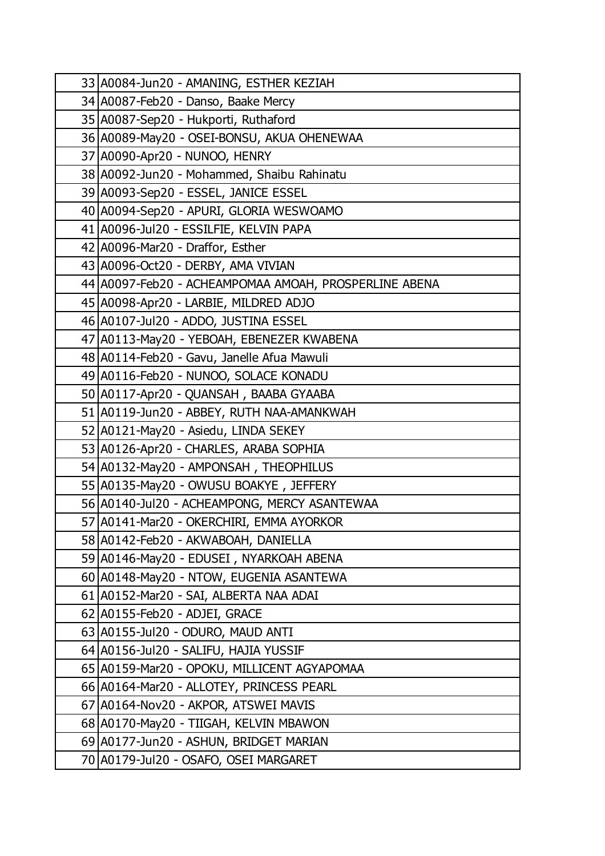| 33 A0084-Jun20 - AMANING, ESTHER KEZIAH               |
|-------------------------------------------------------|
| 34 A0087-Feb20 - Danso, Baake Mercy                   |
| 35 A0087-Sep20 - Hukporti, Ruthaford                  |
| 36 A0089-May20 - OSEI-BONSU, AKUA OHENEWAA            |
| 37 A0090-Apr20 - NUNOO, HENRY                         |
| 38 A0092-Jun20 - Mohammed, Shaibu Rahinatu            |
| 39 A0093-Sep20 - ESSEL, JANICE ESSEL                  |
| 40 A0094-Sep20 - APURI, GLORIA WESWOAMO               |
| 41   A0096-Jul 20 - ESSILFIE, KELVIN PAPA             |
| 42 A0096-Mar20 - Draffor, Esther                      |
| 43 A0096-Oct20 - DERBY, AMA VIVIAN                    |
| 44 A0097-Feb20 - ACHEAMPOMAA AMOAH, PROSPERLINE ABENA |
| 45 A0098-Apr20 - LARBIE, MILDRED ADJO                 |
| 46 A0107-Jul20 - ADDO, JUSTINA ESSEL                  |
| 47 A0113-May20 - YEBOAH, EBENEZER KWABENA             |
| 48 A0114-Feb20 - Gavu, Janelle Afua Mawuli            |
| 49 A0116-Feb20 - NUNOO, SOLACE KONADU                 |
| 50 A0117-Apr20 - QUANSAH, BAABA GYAABA                |
| 51 A0119-Jun20 - ABBEY, RUTH NAA-AMANKWAH             |
| 52 A0121-May20 - Asiedu, LINDA SEKEY                  |
| 53 A0126-Apr20 - CHARLES, ARABA SOPHIA                |
| 54 A0132-May20 - AMPONSAH, THEOPHILUS                 |
| 55 A0135-May20 - OWUSU BOAKYE, JEFFERY                |
| 56 A0140-Jul20 - ACHEAMPONG, MERCY ASANTEWAA          |
| 57 A0141-Mar20 - OKERCHIRI, EMMA AYORKOR              |
| 58 A0142-Feb20 - AKWABOAH, DANIELLA                   |
| 59 A0146-May20 - EDUSEI, NYARKOAH ABENA               |
| 60 A0148-May20 - NTOW, EUGENIA ASANTEWA               |
| 61 A0152-Mar20 - SAI, ALBERTA NAA ADAI                |
| 62 A0155-Feb20 - ADJEI, GRACE                         |
| 63 A0155-Jul20 - ODURO, MAUD ANTI                     |
| 64 A0156-Jul20 - SALIFU, HAJIA YUSSIF                 |
| 65 A0159-Mar20 - OPOKU, MILLICENT AGYAPOMAA           |
| 66 A0164-Mar20 - ALLOTEY, PRINCESS PEARL              |
| 67 A0164-Nov20 - AKPOR, ATSWEI MAVIS                  |
| 68 A0170-May20 - TIIGAH, KELVIN MBAWON                |
| 69 A0177-Jun20 - ASHUN, BRIDGET MARIAN                |
| 70 A0179-Jul20 - OSAFO, OSEI MARGARET                 |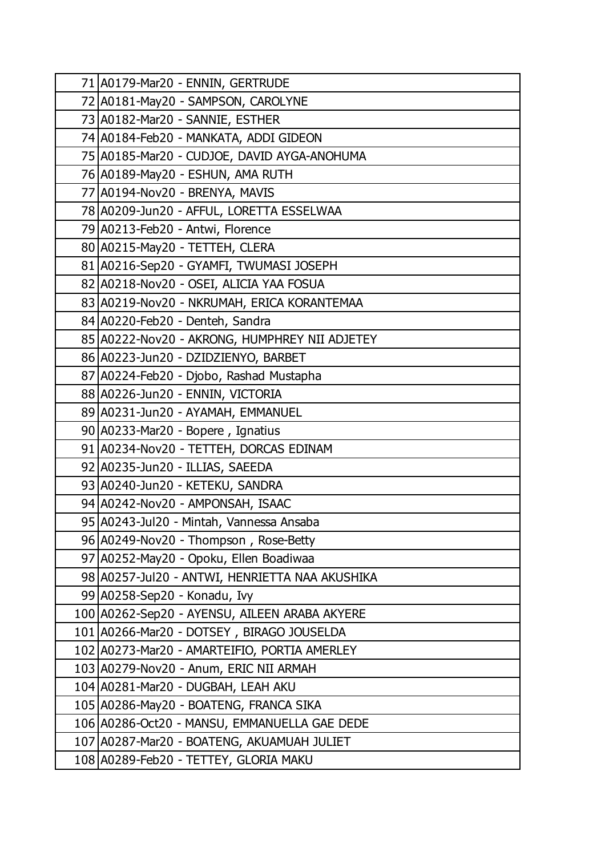| 71 A0179-Mar20 - ENNIN, GERTRUDE                |
|-------------------------------------------------|
| 72 A0181-May20 - SAMPSON, CAROLYNE              |
| 73 A0182-Mar20 - SANNIE, ESTHER                 |
| 74 A0184-Feb20 - MANKATA, ADDI GIDEON           |
| 75 A0185-Mar20 - CUDJOE, DAVID AYGA-ANOHUMA     |
| 76 A0189-May20 - ESHUN, AMA RUTH                |
| 77 A0194-Nov20 - BRENYA, MAVIS                  |
| 78 A0209-Jun20 - AFFUL, LORETTA ESSELWAA        |
| 79 A0213-Feb20 - Antwi, Florence                |
| 80 A0215-May20 - TETTEH, CLERA                  |
| 81 A0216-Sep20 - GYAMFI, TWUMASI JOSEPH         |
| 82 A0218-Nov20 - OSEI, ALICIA YAA FOSUA         |
| 83 A0219-Nov20 - NKRUMAH, ERICA KORANTEMAA      |
| 84 A0220-Feb20 - Denteh, Sandra                 |
| 85 A0222-Nov20 - AKRONG, HUMPHREY NII ADJETEY   |
| 86 A0223-Jun20 - DZIDZIENYO, BARBET             |
| 87 A0224-Feb20 - Djobo, Rashad Mustapha         |
| 88 A0226-Jun20 - ENNIN, VICTORIA                |
| 89 A0231-Jun20 - AYAMAH, EMMANUEL               |
| 90 A0233-Mar20 - Bopere, Ignatius               |
| 91 A0234-Nov20 - TETTEH, DORCAS EDINAM          |
| 92 A0235-Jun20 - ILLIAS, SAEEDA                 |
| 93 A0240-Jun20 - KETEKU, SANDRA                 |
| 94 A0242-Nov20 - AMPONSAH, ISAAC                |
| 95 A0243-Jul20 - Mintah, Vannessa Ansaba        |
| 96 A0249-Nov20 - Thompson, Rose-Betty           |
| 97 A0252-May20 - Opoku, Ellen Boadiwaa          |
| 98 A0257-Jul 20 - ANTWI, HENRIETTA NAA AKUSHIKA |
| 99 A0258-Sep20 - Konadu, Ivy                    |
| 100 A0262-Sep20 - AYENSU, AILEEN ARABA AKYERE   |
| 101 A0266-Mar20 - DOTSEY, BIRAGO JOUSELDA       |
| 102 A0273-Mar20 - AMARTEIFIO, PORTIA AMERLEY    |
| 103 A0279-Nov20 - Anum, ERIC NII ARMAH          |
| 104 A0281-Mar20 - DUGBAH, LEAH AKU              |
| 105 A0286-May20 - BOATENG, FRANCA SIKA          |
| 106 A0286-Oct20 - MANSU, EMMANUELLA GAE DEDE    |
| 107 A0287-Mar20 - BOATENG, AKUAMUAH JULIET      |
| 108 A0289-Feb20 - TETTEY, GLORIA MAKU           |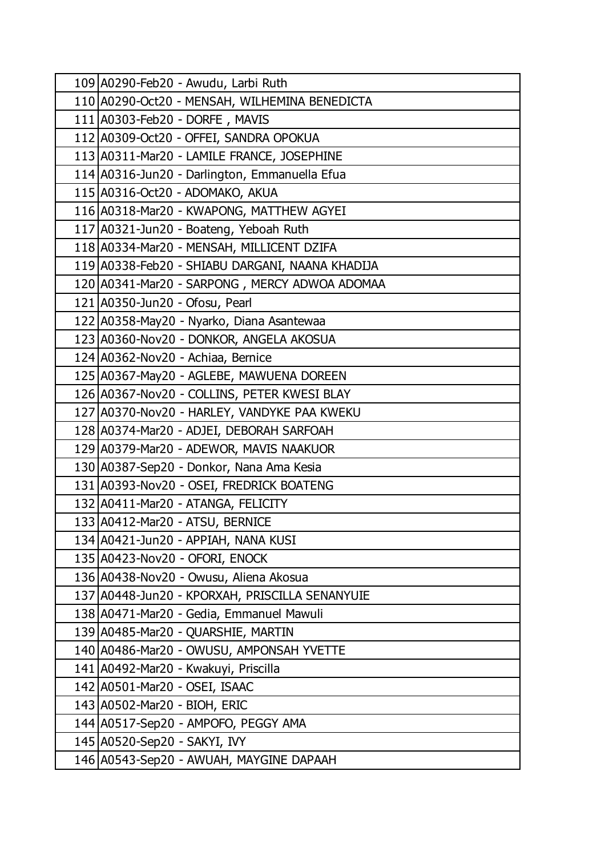| 109 A0290-Feb20 - Awudu, Larbi Ruth             |
|-------------------------------------------------|
| 110 A0290-Oct20 - MENSAH, WILHEMINA BENEDICTA   |
| 111 A0303-Feb20 - DORFE, MAVIS                  |
| 112 A0309-Oct20 - OFFEI, SANDRA OPOKUA          |
| 113 A0311-Mar20 - LAMILE FRANCE, JOSEPHINE      |
| 114 A0316-Jun20 - Darlington, Emmanuella Efua   |
| 115 A0316-Oct20 - ADOMAKO, AKUA                 |
| 116 A0318-Mar20 - KWAPONG, MATTHEW AGYEI        |
| 117 A0321-Jun20 - Boateng, Yeboah Ruth          |
| 118 A0334-Mar20 - MENSAH, MILLICENT DZIFA       |
| 119 A0338-Feb20 - SHIABU DARGANI, NAANA KHADIJA |
| 120 A0341-Mar20 - SARPONG, MERCY ADWOA ADOMAA   |
| 121 A0350-Jun20 - Ofosu, Pearl                  |
| 122 A0358-May20 - Nyarko, Diana Asantewaa       |
| 123 A0360-Nov20 - DONKOR, ANGELA AKOSUA         |
| 124 A0362-Nov20 - Achiaa, Bernice               |
| 125 A0367-May20 - AGLEBE, MAWUENA DOREEN        |
| 126 A0367-Nov20 - COLLINS, PETER KWESI BLAY     |
| 127 A0370-Nov20 - HARLEY, VANDYKE PAA KWEKU     |
| 128 A0374-Mar20 - ADJEI, DEBORAH SARFOAH        |
| 129 A0379-Mar20 - ADEWOR, MAVIS NAAKUOR         |
| 130 A0387-Sep20 - Donkor, Nana Ama Kesia        |
| 131 A0393-Nov20 - OSEI, FREDRICK BOATENG        |
| 132 A0411-Mar20 - ATANGA, FELICITY              |
| 133 A0412-Mar20 - ATSU, BERNICE                 |
| 134 A0421-Jun20 - APPIAH, NANA KUSI             |
| 135 A0423-Nov20 - OFORI, ENOCK                  |
| 136 A0438-Nov20 - Owusu, Aliena Akosua          |
| 137 A0448-Jun20 - KPORXAH, PRISCILLA SENANYUIE  |
| 138 A0471-Mar20 - Gedia, Emmanuel Mawuli        |
| 139 A0485-Mar20 - QUARSHIE, MARTIN              |
| 140 A0486-Mar20 - OWUSU, AMPONSAH YVETTE        |
| 141 A0492-Mar20 - Kwakuyi, Priscilla            |
| 142   A0501 - Mar 20 - OSEI, ISAAC              |
| 143 A0502-Mar20 - BIOH, ERIC                    |
| 144 A0517-Sep20 - AMPOFO, PEGGY AMA             |
| 145 A0520-Sep20 - SAKYI, IVY                    |
| 146 A0543-Sep20 - AWUAH, MAYGINE DAPAAH         |